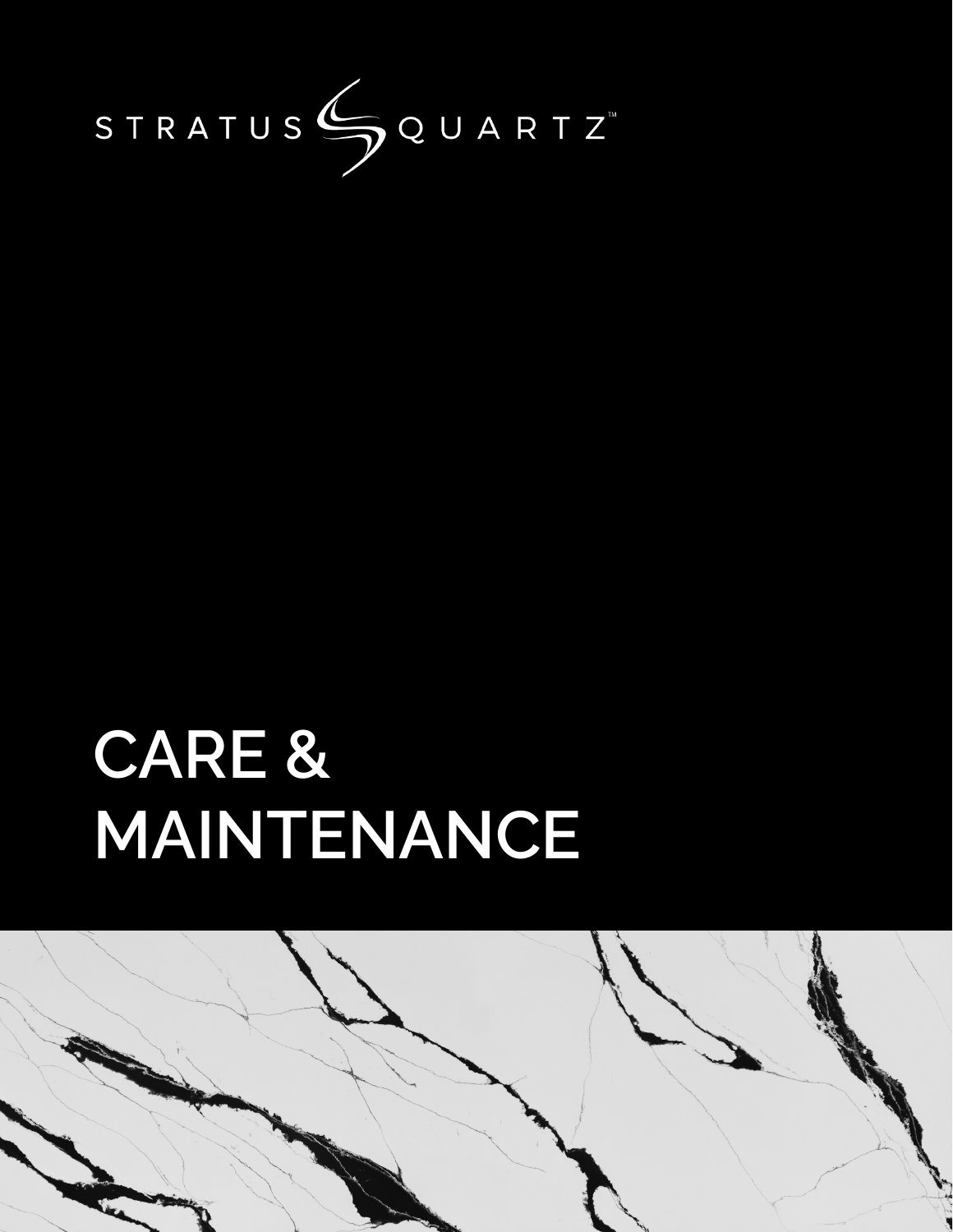

# **CARE & MAINTENANCE**

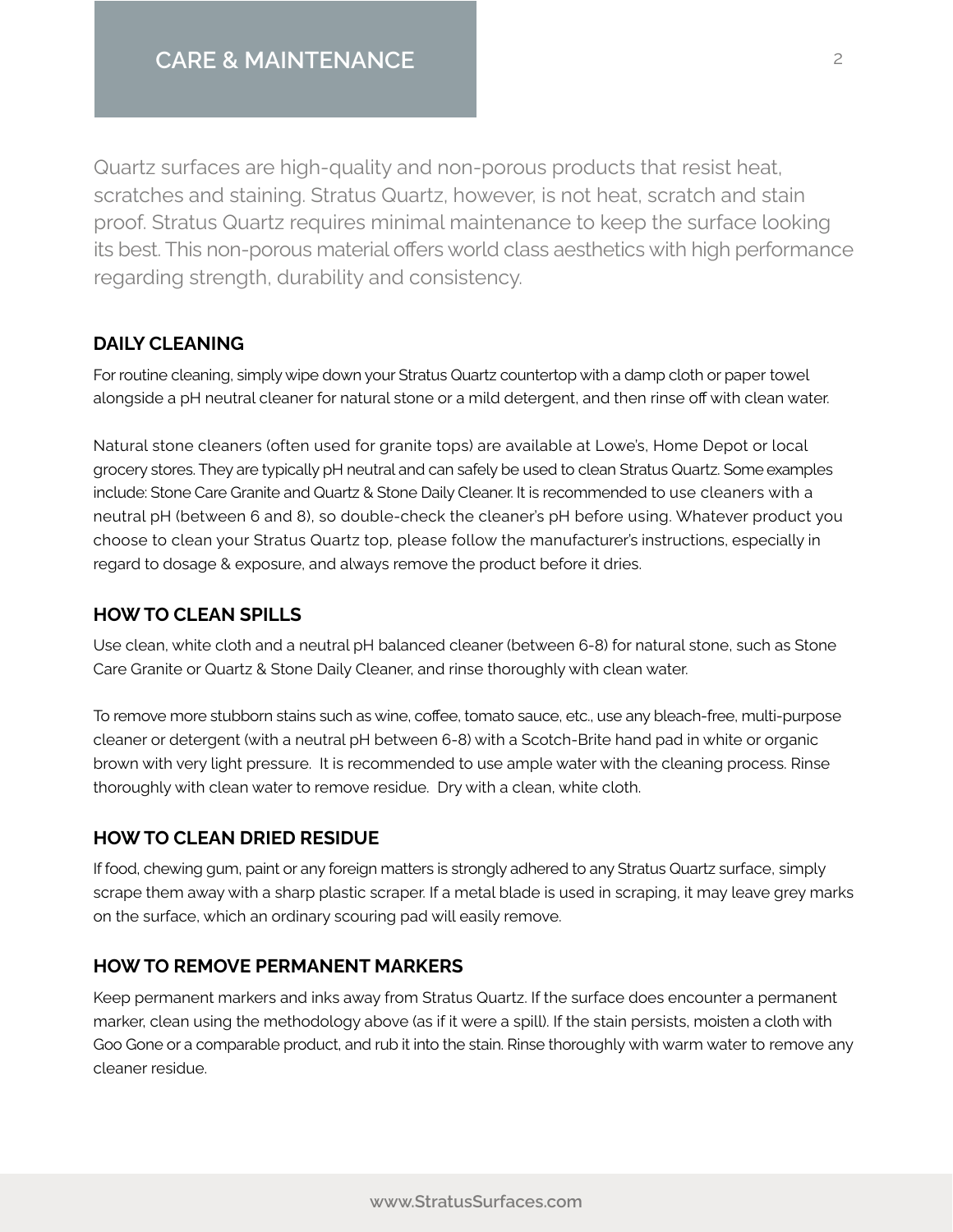Quartz surfaces are high-quality and non-porous products that resist heat, scratches and staining. Stratus Quartz, however, is not heat, scratch and stain proof. Stratus Quartz requires minimal maintenance to keep the surface looking its best. This non-porous material offers world class aesthetics with high performance regarding strength, durability and consistency.

## **DAILY CLEANING**

For routine cleaning, simply wipe down your Stratus Quartz countertop with a damp cloth or paper towel alongside a pH neutral cleaner for natural stone or a mild detergent, and then rinse off with clean water.

Natural stone cleaners (often used for granite tops) are available at Lowe's, Home Depot or local grocery stores. They are typically pH neutral and can safely be used to clean Stratus Quartz. Some examples include: Stone Care Granite and Quartz & Stone Daily Cleaner. It is recommended to use cleaners with a neutral pH (between 6 and 8), so double-check the cleaner's pH before using. Whatever product you choose to clean your Stratus Quartz top, please follow the manufacturer's instructions, especially in regard to dosage & exposure, and always remove the product before it dries.

## **HOW TO CLEAN SPILLS**

Use clean, white cloth and a neutral pH balanced cleaner (between 6-8) for natural stone, such as Stone Care Granite or Quartz & Stone Daily Cleaner, and rinse thoroughly with clean water.

To remove more stubborn stains such as wine, coffee, tomato sauce, etc., use any bleach-free, multi-purpose cleaner or detergent (with a neutral pH between 6-8) with a Scotch-Brite hand pad in white or organic brown with very light pressure. It is recommended to use ample water with the cleaning process. Rinse thoroughly with clean water to remove residue. Dry with a clean, white cloth.

# **HOW TO CLEAN DRIED RESIDUE**

If food, chewing gum, paint or any foreign matters is strongly adhered to any Stratus Quartz surface, simply scrape them away with a sharp plastic scraper. If a metal blade is used in scraping, it may leave grey marks on the surface, which an ordinary scouring pad will easily remove.

# **HOW TO REMOVE PERMANENT MARKERS**

Keep permanent markers and inks away from Stratus Quartz. If the surface does encounter a permanent marker, clean using the methodology above (as if it were a spill). If the stain persists, moisten a cloth with Goo Gone or a comparable product, and rub it into the stain. Rinse thoroughly with warm water to remove any cleaner residue.